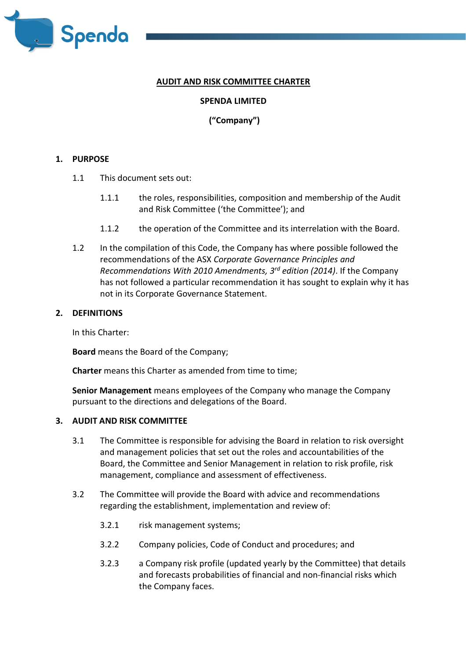

# **AUDIT AND RISK COMMITTEE CHARTER**

## **SPENDA LIMITED**

# **("Company")**

### **1. PURPOSE**

- 1.1 This document sets out:
	- 1.1.1 the roles, responsibilities, composition and membership of the Audit and Risk Committee ('the Committee'); and
	- 1.1.2 the operation of the Committee and its interrelation with the Board.
- 1.2 In the compilation of this Code, the Company has where possible followed the recommendations of the ASX *Corporate Governance Principles and Recommendations With 2010 Amendments, 3rd edition (2014)*. If the Company has not followed a particular recommendation it has sought to explain why it has not in its Corporate Governance Statement.

#### **2. DEFINITIONS**

In this Charter:

**Board** means the Board of the Company;

**Charter** means this Charter as amended from time to time;

**Senior Management** means employees of the Company who manage the Company pursuant to the directions and delegations of the Board.

#### **3. AUDIT AND RISK COMMITTEE**

- 3.1 The Committee is responsible for advising the Board in relation to risk oversight and management policies that set out the roles and accountabilities of the Board, the Committee and Senior Management in relation to risk profile, risk management, compliance and assessment of effectiveness.
- 3.2 The Committee will provide the Board with advice and recommendations regarding the establishment, implementation and review of:
	- 3.2.1 risk management systems;
	- 3.2.2 Company policies, Code of Conduct and procedures; and
	- 3.2.3 a Company risk profile (updated yearly by the Committee) that details and forecasts probabilities of financial and non-financial risks which the Company faces.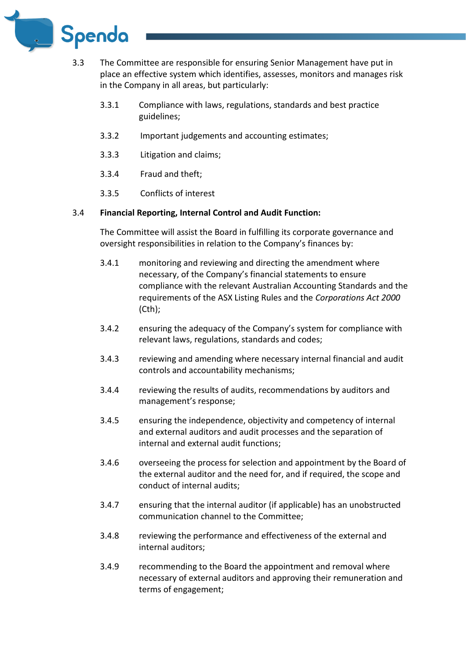

- 3.3 The Committee are responsible for ensuring Senior Management have put in place an effective system which identifies, assesses, monitors and manages risk in the Company in all areas, but particularly:
	- 3.3.1 Compliance with laws, regulations, standards and best practice guidelines;
	- 3.3.2 Important judgements and accounting estimates;
	- 3.3.3 Litigation and claims;
	- 3.3.4 Fraud and theft;
	- 3.3.5 Conflicts of interest

### 3.4 **Financial Reporting, Internal Control and Audit Function:**

The Committee will assist the Board in fulfilling its corporate governance and oversight responsibilities in relation to the Company's finances by:

- 3.4.1 monitoring and reviewing and directing the amendment where necessary, of the Company's financial statements to ensure compliance with the relevant Australian Accounting Standards and the requirements of the ASX Listing Rules and the *Corporations Act 2000* (Cth);
- 3.4.2 ensuring the adequacy of the Company's system for compliance with relevant laws, regulations, standards and codes;
- 3.4.3 reviewing and amending where necessary internal financial and audit controls and accountability mechanisms;
- 3.4.4 reviewing the results of audits, recommendations by auditors and management's response;
- 3.4.5 ensuring the independence, objectivity and competency of internal and external auditors and audit processes and the separation of internal and external audit functions;
- 3.4.6 overseeing the process for selection and appointment by the Board of the external auditor and the need for, and if required, the scope and conduct of internal audits;
- 3.4.7 ensuring that the internal auditor (if applicable) has an unobstructed communication channel to the Committee;
- 3.4.8 reviewing the performance and effectiveness of the external and internal auditors;
- 3.4.9 recommending to the Board the appointment and removal where necessary of external auditors and approving their remuneration and terms of engagement;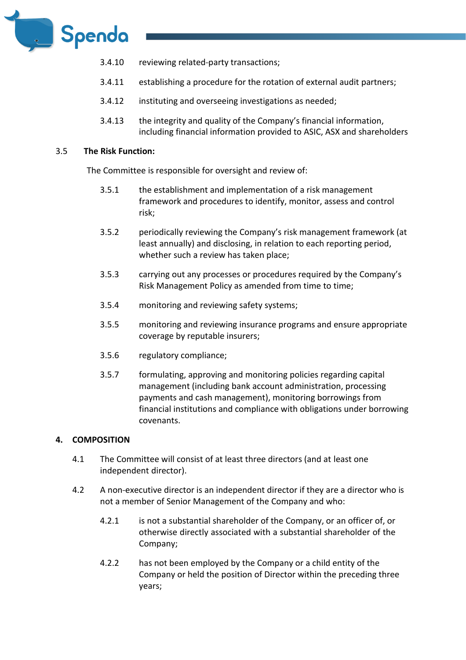

- 3.4.10 reviewing related-party transactions;
- 3.4.11 establishing a procedure for the rotation of external audit partners;
- 3.4.12 instituting and overseeing investigations as needed;
- 3.4.13 the integrity and quality of the Company's financial information, including financial information provided to ASIC, ASX and shareholders

#### 3.5 **The Risk Function:**

The Committee is responsible for oversight and review of:

- 3.5.1 the establishment and implementation of a risk management framework and procedures to identify, monitor, assess and control risk;
- 3.5.2 periodically reviewing the Company's risk management framework (at least annually) and disclosing, in relation to each reporting period, whether such a review has taken place;
- 3.5.3 carrying out any processes or procedures required by the Company's Risk Management Policy as amended from time to time;
- 3.5.4 monitoring and reviewing safety systems;
- 3.5.5 monitoring and reviewing insurance programs and ensure appropriate coverage by reputable insurers;
- 3.5.6 regulatory compliance;
- 3.5.7 formulating, approving and monitoring policies regarding capital management (including bank account administration, processing payments and cash management), monitoring borrowings from financial institutions and compliance with obligations under borrowing covenants.

### **4. COMPOSITION**

- 4.1 The Committee will consist of at least three directors (and at least one independent director).
- 4.2 A non-executive director is an independent director if they are a director who is not a member of Senior Management of the Company and who:
	- 4.2.1 is not a substantial shareholder of the Company, or an officer of, or otherwise directly associated with a substantial shareholder of the Company;
	- 4.2.2 has not been employed by the Company or a child entity of the Company or held the position of Director within the preceding three years;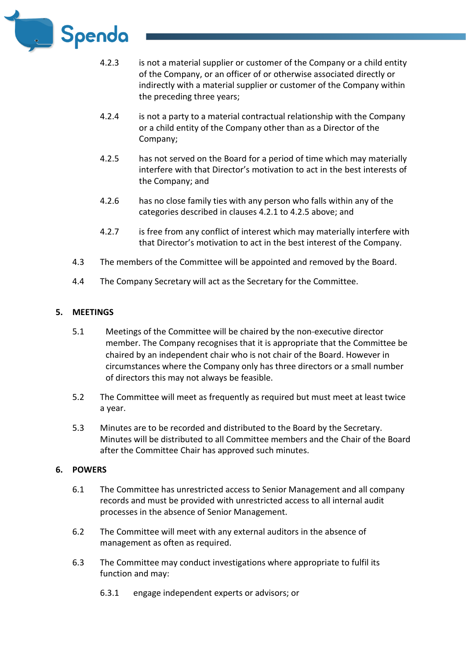

- 4.2.3 is not a material supplier or customer of the Company or a child entity of the Company, or an officer of or otherwise associated directly or indirectly with a material supplier or customer of the Company within the preceding three years;
- 4.2.4 is not a party to a material contractual relationship with the Company or a child entity of the Company other than as a Director of the Company;
- 4.2.5 has not served on the Board for a period of time which may materially interfere with that Director's motivation to act in the best interests of the Company; and
- 4.2.6 has no close family ties with any person who falls within any of the categories described in clauses 4.2.1 to 4.2.5 above; and
- 4.2.7 is free from any conflict of interest which may materially interfere with that Director's motivation to act in the best interest of the Company.
- 4.3 The members of the Committee will be appointed and removed by the Board.
- 4.4 The Company Secretary will act as the Secretary for the Committee.

### **5. MEETINGS**

- 5.1 Meetings of the Committee will be chaired by the non-executive director member. The Company recognises that it is appropriate that the Committee be chaired by an independent chair who is not chair of the Board. However in circumstances where the Company only has three directors or a small number of directors this may not always be feasible.
- 5.2 The Committee will meet as frequently as required but must meet at least twice a year.
- 5.3 Minutes are to be recorded and distributed to the Board by the Secretary. Minutes will be distributed to all Committee members and the Chair of the Board after the Committee Chair has approved such minutes.

### **6. POWERS**

- 6.1 The Committee has unrestricted access to Senior Management and all company records and must be provided with unrestricted access to all internal audit processes in the absence of Senior Management.
- 6.2 The Committee will meet with any external auditors in the absence of management as often as required.
- 6.3 The Committee may conduct investigations where appropriate to fulfil its function and may:
	- 6.3.1 engage independent experts or advisors; or